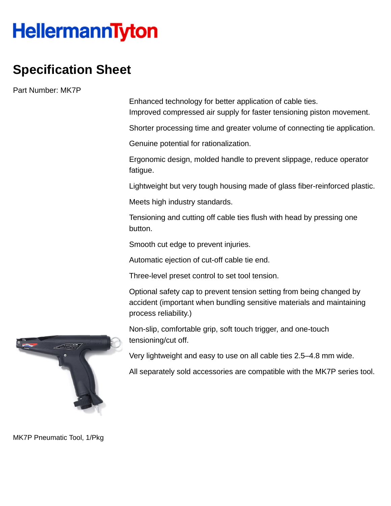## **HellermannTyton**

## **Specification Sheet**

Part Number: MK7P

Enhanced technology for better application of cable ties. Improved compressed air supply for faster tensioning piston movement.

Shorter processing time and greater volume of connecting tie application.

Genuine potential for rationalization.

Ergonomic design, molded handle to prevent slippage, reduce operator fatigue.

Lightweight but very tough housing made of glass fiber-reinforced plastic.

Meets high industry standards.

Tensioning and cutting off cable ties flush with head by pressing one button.

Smooth cut edge to prevent injuries.

Automatic ejection of cut-off cable tie end.

Three-level preset control to set tool tension.

Optional safety cap to prevent tension setting from being changed by accident (important when bundling sensitive materials and maintaining process reliability.)

Non-slip, comfortable grip, soft touch trigger, and one-touch tensioning/cut off.

Very lightweight and easy to use on all cable ties 2.5–4.8 mm wide.

All separately sold accessories are compatible with the MK7P series tool.



MK7P Pneumatic Tool, 1/Pkg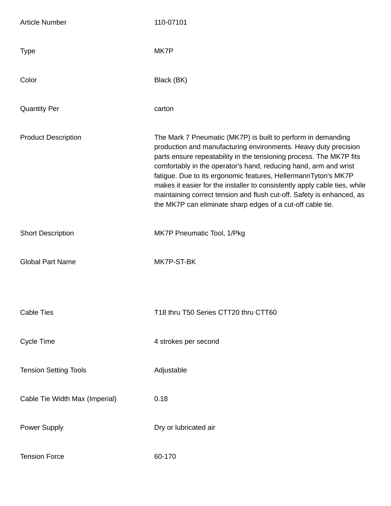| <b>Article Number</b>          | 110-07101                                                                                                                                                                                                                                                                                                                                                                                                                                                                                                                                                        |
|--------------------------------|------------------------------------------------------------------------------------------------------------------------------------------------------------------------------------------------------------------------------------------------------------------------------------------------------------------------------------------------------------------------------------------------------------------------------------------------------------------------------------------------------------------------------------------------------------------|
| <b>Type</b>                    | MK7P                                                                                                                                                                                                                                                                                                                                                                                                                                                                                                                                                             |
| Color                          | Black (BK)                                                                                                                                                                                                                                                                                                                                                                                                                                                                                                                                                       |
| <b>Quantity Per</b>            | carton                                                                                                                                                                                                                                                                                                                                                                                                                                                                                                                                                           |
| <b>Product Description</b>     | The Mark 7 Pneumatic (MK7P) is built to perform in demanding<br>production and manufacturing environments. Heavy duty precision<br>parts ensure repeatability in the tensioning process. The MK7P fits<br>comfortably in the operator's hand, reducing hand, arm and wrist<br>fatigue. Due to its ergonomic features, HellermannTyton's MK7P<br>makes it easier for the installer to consistently apply cable ties, while<br>maintaining correct tension and flush cut-off. Safety is enhanced, as<br>the MK7P can eliminate sharp edges of a cut-off cable tie. |
| <b>Short Description</b>       | MK7P Pneumatic Tool, 1/Pkg                                                                                                                                                                                                                                                                                                                                                                                                                                                                                                                                       |
| <b>Global Part Name</b>        | MK7P-ST-BK                                                                                                                                                                                                                                                                                                                                                                                                                                                                                                                                                       |
| <b>Cable Ties</b>              | T18 thru T50 Series CTT20 thru CTT60                                                                                                                                                                                                                                                                                                                                                                                                                                                                                                                             |
| <b>Cycle Time</b>              | 4 strokes per second                                                                                                                                                                                                                                                                                                                                                                                                                                                                                                                                             |
| <b>Tension Setting Tools</b>   | Adjustable                                                                                                                                                                                                                                                                                                                                                                                                                                                                                                                                                       |
| Cable Tie Width Max (Imperial) | 0.18                                                                                                                                                                                                                                                                                                                                                                                                                                                                                                                                                             |
| <b>Power Supply</b>            | Dry or lubricated air                                                                                                                                                                                                                                                                                                                                                                                                                                                                                                                                            |
| <b>Tension Force</b>           | 60-170                                                                                                                                                                                                                                                                                                                                                                                                                                                                                                                                                           |